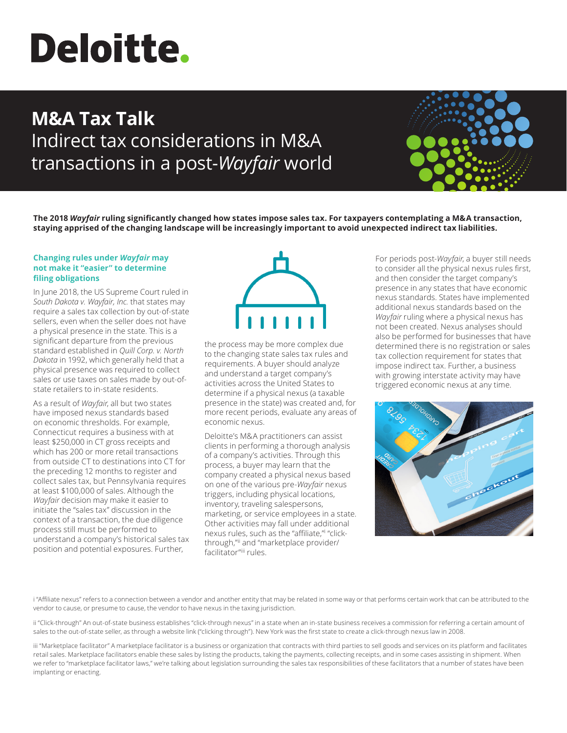# **Deloitte.**

# **M&A Tax Talk** Indirect tax considerations in M&A transactions in a post-*Wayfair* world



**The 2018** *Wayfair* **ruling significantly changed how states impose sales tax. For taxpayers contemplating a M&A transaction, staying apprised of the changing landscape will be increasingly important to avoid unexpected indirect tax liabilities.**

# **Changing rules under** *Wayfair* **may not make it "easier" to determine filing obligations**

In June 2018, the US Supreme Court ruled in *South Dakota v. Wayfair, Inc.* that states may require a sales tax collection by out-of-state sellers, even when the seller does not have a physical presence in the state. This is a significant departure from the previous standard established in *Quill Corp. v. North Dakota* in 1992, which generally held that a physical presence was required to collect sales or use taxes on sales made by out-ofstate retailers to in-state residents.

As a result of *Wayfair*, all but two states have imposed nexus standards based on economic thresholds. For example, Connecticut requires a business with at least \$250,000 in CT gross receipts and which has 200 or more retail transactions from outside CT to destinations into CT for the preceding 12 months to register and collect sales tax, but Pennsylvania requires at least \$100,000 of sales. Although the *Wayfair* decision may make it easier to initiate the "sales tax" discussion in the context of a transaction, the due diligence process still must be performed to understand a company's historical sales tax position and potential exposures. Further,



the process may be more complex due to the changing state sales tax rules and requirements. A buyer should analyze and understand a target company's activities across the United States to determine if a physical nexus (a taxable presence in the state) was created and, for more recent periods, evaluate any areas of economic nexus.

Deloitte's M&A practitioners can assist clients in performing a thorough analysis of a company's activities. Through this process, a buyer may learn that the company created a physical nexus based on one of the various pre-*Wayfair* nexus triggers, including physical locations, inventory, traveling salespersons, marketing, or service employees in a state. Other activities may fall under additional nexus rules, such as the "affiliate," "clickthrough,"ii and "marketplace provider/ facilitator"iii rules.

For periods post-*Wayfair*, a buyer still needs to consider all the physical nexus rules first, and then consider the target company's presence in any states that have economic nexus standards. States have implemented additional nexus standards based on the *Wayfair* ruling where a physical nexus has not been created. Nexus analyses should also be performed for businesses that have determined there is no registration or sales tax collection requirement for states that impose indirect tax. Further, a business with growing interstate activity may have triggered economic nexus at any time.



i "Affiliate nexus" refers to a connection between a vendor and another entity that may be related in some way or that performs certain work that can be attributed to the vendor to cause, or presume to cause, the vendor to have nexus in the taxing jurisdiction.

ii "Click-through" An out-of-state business establishes "click-through nexus" in a state when an in-state business receives a commission for referring a certain amount of sales to the out-of-state seller, as through a website link ("clicking through"). New York was the first state to create a click-through nexus law in 2008.

iii "Marketplace facilitator" A marketplace facilitator is a business or organization that contracts with third parties to sell goods and services on its platform and facilitates retail sales. Marketplace facilitators enable these sales by listing the products, taking the payments, collecting receipts, and in some cases assisting in shipment. When we refer to "marketplace facilitator laws," we're talking about legislation surrounding the sales tax responsibilities of these facilitators that a number of states have been implanting or enacting.